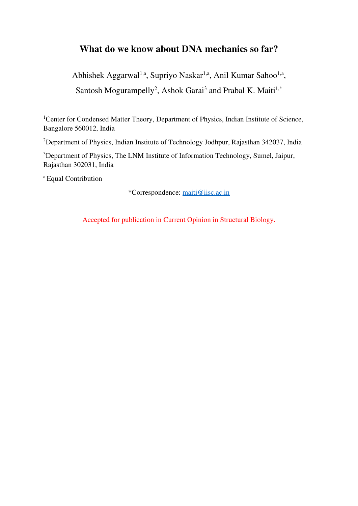# **What do we know about DNA mechanics so far?**

Abhishek Aggarwal<sup>1,a</sup>, Supriyo Naskar<sup>1,a</sup>, Anil Kumar Sahoo<sup>1,a</sup>, Santosh Mogurampelly<sup>2</sup>, Ashok Garai<sup>3</sup> and Prabal K. Maiti<sup>1,\*</sup>

<sup>1</sup>Center for Condensed Matter Theory, Department of Physics, Indian Institute of Science, Bangalore 560012, India

<sup>2</sup>Department of Physics, Indian Institute of Technology Jodhpur, Rajasthan 342037, India

<sup>3</sup>Department of Physics, The LNM Institute of Information Technology, Sumel, Jaipur, Rajasthan 302031, India

<sup>a</sup> Equal Contribution

\*Correspondence: [maiti@iisc.ac.in](mailto:maiti@iisc.ac.in) 

Accepted for publication in Current Opinion in Structural Biology.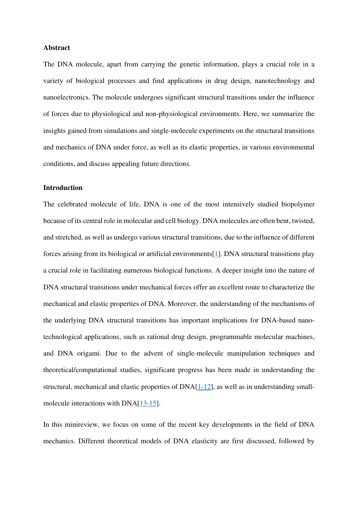#### **Abstract**

The DNA molecule, apart from carrying the genetic information, plays a crucial role in a variety of biological processes and find applications in drug design, nanotechnology and nanoelectronics. The molecule undergoes significant structural transitions under the influence of forces due to physiological and non-physiological environments. Here, we summarize the insights gained from simulations and single-molecule experiments on the structural transitions and mechanics of DNA under force, as well as its elastic properties, in various environmental conditions, and discuss appealing future directions.

## **Introduction**

The celebrated molecule of life, DNA is one of the most intensively studied biopolymer because of its central role in molecular and cell biology. DNA molecules are often bent, twisted, and stretched, as well as undergo various structural transitions, due to the influence of different forces arising from its biological or artificial environments[\[1\]](#page-14-0). DNA structural transitions play a crucial role in facilitating numerous biological functions. A deeper insight into the nature of DNA structural transitions under mechanical forces offer an excellent route to characterize the mechanical and elastic properties of DNA. Moreover, the understanding of the mechanisms of the underlying DNA structural transitions has important implications for DNA-based nanotechnological applications, such as rational drug design, programmable molecular machines, and DNA origami. Due to the advent of single-molecule manipulation techniques and theoretical/computational studies, significant progress has been made in understanding the structural, mechanical and elastic properties of DNA[\[1-12\]](#page-14-0), as well as in understanding smallmolecule interactions with DNA[\[13-15\]](#page-14-1).

In this minireview, we focus on some of the recent key developments in the field of DNA mechanics. Different theoretical models of DNA elasticity are first discussed, followed by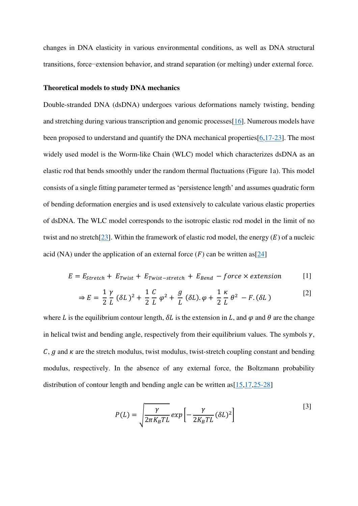changes in DNA elasticity in various environmental conditions, as well as DNA structural transitions, force−extension behavior, and strand separation (or melting) under external force.

#### **Theoretical models to study DNA mechanics**

Double-stranded DNA (dsDNA) undergoes various deformations namely twisting, bending and stretching during various transcription and genomic processes[\[16\]](#page-15-0). Numerous models have been proposed to understand and quantify the DNA mechanical properties[\[6](#page-14-2)[,17-23\]](#page-15-1). The most widely used model is the Worm-like Chain (WLC) model which characterizes dsDNA as an elastic rod that bends smoothly under the random thermal fluctuations (Figure 1a). This model consists of a single fitting parameter termed as 'persistence length' and assumes quadratic form of bending deformation energies and is used extensively to calculate various elastic properties of dsDNA. The WLC model corresponds to the isotropic elastic rod model in the limit of no twist and no stretch<sup>[\[23\]](#page-15-2)</sup>. Within the framework of elastic rod model, the energy  $(E)$  of a nucleic acid (NA) under the application of an external force  $(F)$  can be written as[\[24\]](#page-15-3)

$$
E = E_{stretch} + E_{Twist} + E_{Twist-stretch} + E_{Bend} - force \times extension
$$
 [1]

$$
\Rightarrow E = \frac{1}{2} \frac{\gamma}{L} (\delta L)^2 + \frac{1}{2} \frac{C}{L} \varphi^2 + \frac{g}{L} (\delta L) . \varphi + \frac{1}{2} \frac{\kappa}{L} \theta^2 - F . (\delta L)
$$
 [2]

where L is the equilibrium contour length,  $\delta L$  is the extension in L, and  $\varphi$  and  $\theta$  are the change in helical twist and bending angle, respectively from their equilibrium values. The symbols  $\gamma$ ,  $C, g$  and  $\kappa$  are the stretch modulus, twist modulus, twist-stretch coupling constant and bending modulus, respectively. In the absence of any external force, the Boltzmann probability distribution of contour length and bending angle can be written as  $[15,17,25-28]$  $[15,17,25-28]$  $[15,17,25-28]$ 

$$
P(L) = \sqrt{\frac{\gamma}{2\pi K_B T L}} exp\left[-\frac{\gamma}{2K_B T L} (\delta L)^2\right]
$$
 [3]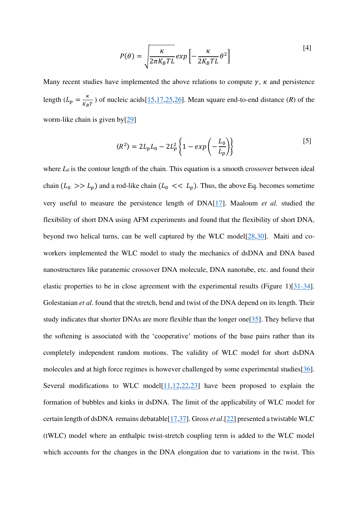$$
P(\theta) = \sqrt{\frac{\kappa}{2\pi K_B T L}} exp\left[-\frac{\kappa}{2K_B T L} \theta^2\right]
$$
 [4]

Many recent studies have implemented the above relations to compute  $\gamma$ ,  $\kappa$  and persistence length  $(L_p = \frac{\kappa}{K_B})$  $\frac{k}{K_B T}$ ) of nucleic acids[\[15](#page-15-4)[,17](#page-15-1)[,25](#page-15-5)[,26\]](#page-15-6). Mean square end-to-end distance (*R*) of the worm-like chain is given by[\[29\]](#page-15-7)

$$
\langle R^2 \rangle = 2L_p L_0 - 2L_p^2 \left\{ 1 - exp\left(-\frac{L_0}{L_p}\right) \right\}
$$
 [5]

where  $L_0$  is the contour length of the chain. This equation is a smooth crossover between ideal chain  $(L_0 \gg L_p)$  and a rod-like chain  $(L_0 \ll L_p)$ . Thus, the above Eq. becomes sometime very useful to measure the persistence length of DNA[\[17\]](#page-15-1). Maaloum *et al.* studied the flexibility of short DNA using AFM experiments and found that the flexibility of short DNA, beyond two helical turns, can be well captured by the WLC model $[28,30]$  $[28,30]$ . Maiti and coworkers implemented the WLC model to study the mechanics of dsDNA and DNA based nanostructures like paranemic crossover DNA molecule, DNA nanotube, etc. and found their elastic properties to be in close agreement with the experimental results (Figure 1)[\[31-34\]](#page-15-10). Golestanian *et al*. found that the stretch, bend and twist of the DNA depend on its length. Their study indicates that shorter DNAs are more flexible than the longer one[\[35\]](#page-15-11). They believe that the softening is associated with the 'cooperative' motions of the base pairs rather than its completely independent random motions. The validity of WLC model for short dsDNA molecules and at high force regimes is however challenged by some experimental studies[\[36\]](#page-16-0). Several modifications to WLC model  $[11, 12, 22, 23]$  $[11, 12, 22, 23]$  $[11, 12, 22, 23]$  $[11, 12, 22, 23]$  $[11, 12, 22, 23]$  $[11, 12, 22, 23]$  $[11, 12, 22, 23]$  have been proposed to explain the formation of bubbles and kinks in dsDNA. The limit of the applicability of WLC model for certain length of dsDNA remains debatable[\[17,](#page-15-1)[37\]](#page-16-1). Gross *et al*.[\[22\]](#page-15-12) presented a twistable WLC (tWLC) model where an enthalpic twist-stretch coupling term is added to the WLC model which accounts for the changes in the DNA elongation due to variations in the twist. This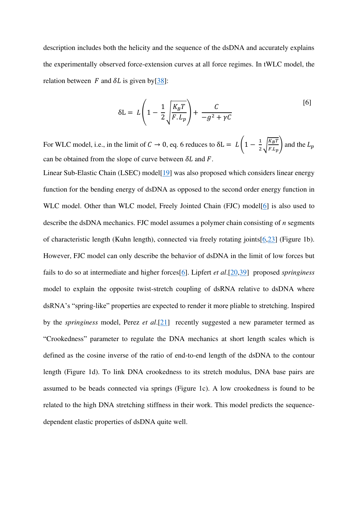description includes both the helicity and the sequence of the dsDNA and accurately explains the experimentally observed force-extension curves at all force regimes. In tWLC model, the relation between F and  $\delta L$  is given by [\[38\]](#page-16-2):

$$
\delta L = L \left( 1 - \frac{1}{2} \sqrt{\frac{K_B T}{F \cdot L_p}} \right) + \frac{C}{-g^2 + \gamma C}
$$
 [6]

For WLC model, i.e., in the limit of  $C \to 0$ , eq. 6 reduces to  $\delta L = L \left(1 - \frac{1}{2} \sqrt{\frac{K_B T}{F L_p}}\right)$  $\frac{R_{B}T}{F.L_p}$  and the  $L_p$ can be obtained from the slope of curve between  $\delta L$  and  $\dot{F}$ .

Linear Sub-Elastic Chain (LSEC) model<sup>[\[19\]](#page-15-13)</sup> was also proposed which considers linear energy function for the bending energy of dsDNA as opposed to the second order energy function in WLC model. Other than WLC model, Freely Jointed Chain (FJC) model<sup>[\[6\]](#page-14-2)</sup> is also used to describe the dsDNA mechanics. FJC model assumes a polymer chain consisting of *n* segments of characteristic length (Kuhn length), connected via freely rotating joints $[6,23]$  $[6,23]$  (Figure 1b). However, FJC model can only describe the behavior of dsDNA in the limit of low forces but fails to do so at intermediate and higher forces[\[6\]](#page-14-2). Lipfert *et al*.[\[20,](#page-15-14)[39\]](#page-16-3) proposed *springiness* model to explain the opposite twist-stretch coupling of dsRNA relative to dsDNA where dsRNA's "spring-like" properties are expected to render it more pliable to stretching. Inspired by the *springiness* model, Perez *et al*.[\[21\]](#page-15-15) recently suggested a new parameter termed as "Crookedness" parameter to regulate the DNA mechanics at short length scales which is defined as the cosine inverse of the ratio of end-to-end length of the dsDNA to the contour length (Figure 1d). To link DNA crookedness to its stretch modulus, DNA base pairs are assumed to be beads connected via springs (Figure 1c). A low crookedness is found to be related to the high DNA stretching stiffness in their work. This model predicts the sequencedependent elastic properties of dsDNA quite well.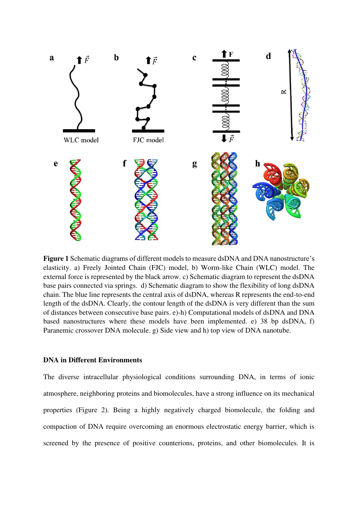

**Figure 1** Schematic diagrams of different models to measure dsDNA and DNA nanostructure's elasticity. a) Freely Jointed Chain (FJC) model, b) Worm-like Chain (WLC) model. The external force is represented by the black arrow. c) Schematic diagram to represent the dsDNA base pairs connected via springs. d) Schematic diagram to show the flexibility of long dsDNA chain. The blue line represents the central axis of dsDNA, whereas R represents the end-to-end length of the dsDNA. Clearly, the contour length of the dsDNA is very different than the sum of distances between consecutive base pairs. e)-h) Computational models of dsDNA and DNA based nanostructures where these models have been implemented. e) 38 bp dsDNA, f) Paranemic crossover DNA molecule. g) Side view and h) top view of DNA nanotube.

# **DNA in Different Environments**

The diverse intracellular physiological conditions surrounding DNA, in terms of ionic atmosphere, neighboring proteins and biomolecules, have a strong influence on its mechanical properties (Figure 2). Being a highly negatively charged biomolecule, the folding and compaction of DNA require overcoming an enormous electrostatic energy barrier, which is screened by the presence of positive counterions, proteins, and other biomolecules. It is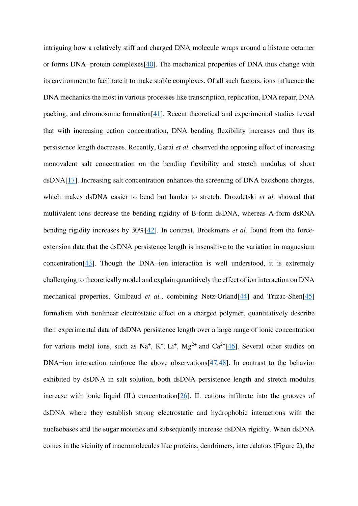intriguing how a relatively stiff and charged DNA molecule wraps around a histone octamer or forms DNA−protein complexes[\[40\]](#page-16-4). The mechanical properties of DNA thus change with its environment to facilitate it to make stable complexes. Of all such factors, ions influence the DNA mechanics the most in various processes like transcription, replication, DNA repair, DNA packing, and chromosome formation[\[41\]](#page-16-5). Recent theoretical and experimental studies reveal that with increasing cation concentration, DNA bending flexibility increases and thus its persistence length decreases. Recently, Garai *et al.* observed the opposing effect of increasing monovalent salt concentration on the bending flexibility and stretch modulus of short dsDNA[\[17\]](#page-15-1). Increasing salt concentration enhances the screening of DNA backbone charges, which makes dsDNA easier to bend but harder to stretch. Drozdetski *et al.* showed that multivalent ions decrease the bending rigidity of B-form dsDNA, whereas A-form dsRNA bending rigidity increases by 30%[\[42\]](#page-16-6). In contrast, Broekmans *et al.* found from the forceextension data that the dsDNA persistence length is insensitive to the variation in magnesium concentration[\[43\]](#page-16-7). Though the DNA−ion interaction is well understood, it is extremely challenging to theoretically model and explain quantitively the effect of ion interaction on DNA mechanical properties. Guilbaud *et al.*, combining Netz-Orland<sup>[\[44\]](#page-16-8)</sup> and Trizac-Shen<sup>[\[45\]](#page-16-9)</sup> formalism with nonlinear electrostatic effect on a charged polymer, quantitatively describe their experimental data of dsDNA persistence length over a large range of ionic concentration for various metal ions, such as Na<sup>+</sup>, K<sup>+</sup>, Li<sup>+</sup>, Mg<sup>2+</sup> and Ca<sup>2+</sup>[\[46\]](#page-16-10). Several other studies on DNA-ion interaction reinforce the above observations[\[47](#page-16-11)[,48\]](#page-16-12). In contrast to the behavior exhibited by dsDNA in salt solution, both dsDNA persistence length and stretch modulus increase with ionic liquid  $(IL)$  concentration [\[26\]](#page-15-6). IL cations infiltrate into the grooves of dsDNA where they establish strong electrostatic and hydrophobic interactions with the nucleobases and the sugar moieties and subsequently increase dsDNA rigidity. When dsDNA comes in the vicinity of macromolecules like proteins, dendrimers, intercalators (Figure 2), the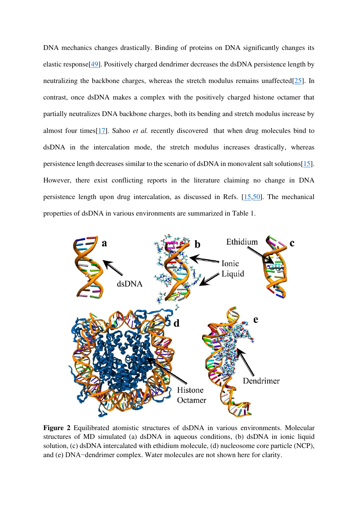DNA mechanics changes drastically. Binding of proteins on DNA significantly changes its elastic response[\[49\]](#page-16-13). Positively charged dendrimer decreases the dsDNA persistence length by neutralizing the backbone charges, whereas the stretch modulus remains unaffected $[25]$ . In contrast, once dsDNA makes a complex with the positively charged histone octamer that partially neutralizes DNA backbone charges, both its bending and stretch modulus increase by almost four times[\[17\]](#page-15-1). Sahoo *et al.* recently discovered that when drug molecules bind to dsDNA in the intercalation mode, the stretch modulus increases drastically, whereas persistence length decreases similar to the scenario of dsDNA in monovalent salt solutions[\[15\]](#page-15-4). However, there exist conflicting reports in the literature claiming no change in DNA persistence length upon drug intercalation, as discussed in Refs. [\[15](#page-15-4)[,50\]](#page-16-14). The mechanical properties of dsDNA in various environments are summarized in Table 1.



**Figure 2** Equilibrated atomistic structures of dsDNA in various environments. Molecular structures of MD simulated (a) dsDNA in aqueous conditions, (b) dsDNA in ionic liquid solution, (c) dsDNA intercalated with ethidium molecule, (d) nucleosome core particle (NCP), and (e) DNA−dendrimer complex. Water molecules are not shown here for clarity.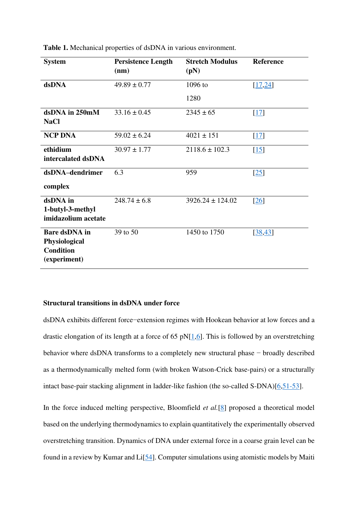| <b>System</b>                                                             | <b>Persistence Length</b><br>(nm) | <b>Stretch Modulus</b><br>(pN) | <b>Reference</b>  |
|---------------------------------------------------------------------------|-----------------------------------|--------------------------------|-------------------|
| dsDNA                                                                     | $49.89 \pm 0.77$                  | $1096$ to<br>1280              | [17, 24]          |
| dsDNA in 250mM<br><b>NaCl</b>                                             | $33.16 \pm 0.45$                  | $2345 \pm 65$                  | [17]              |
| <b>NCP DNA</b>                                                            | $59.02 \pm 6.24$                  | $4021 \pm 151$                 | [17]              |
| ethidium<br>intercalated dsDNA                                            | $30.97 \pm 1.77$                  | $2118.6 \pm 102.3$             | $\left[15\right]$ |
| dsDNA-dendrimer<br>complex                                                | 6.3                               | 959                            | $\left[25\right]$ |
| dsDNA in<br>1-butyl-3-methyl<br>imidazolium acetate                       | $248.74 \pm 6.8$                  | $3926.24 \pm 124.02$           | [26]              |
| <b>Bare dsDNA</b> in<br>Physiological<br><b>Condition</b><br>(experiment) | 39 to 50                          | 1450 to 1750                   | [38, 43]          |

**Table 1.** Mechanical properties of dsDNA in various environment.

## **Structural transitions in dsDNA under force**

dsDNA exhibits different force−extension regimes with Hookean behavior at low forces and a drastic elongation of its length at a force of 65 pN $[1,6]$  $[1,6]$ . This is followed by an overstretching behavior where dsDNA transforms to a completely new structural phase − broadly described as a thermodynamically melted form (with broken Watson-Crick base-pairs) or a structurally intact base-pair stacking alignment in ladder-like fashion (the so-called S-DNA)[\[6,](#page-14-2)[51-53\]](#page-16-15).

In the force induced melting perspective, Bloomfield *et al.*[\[8\]](#page-14-5) proposed a theoretical model based on the underlying thermodynamics to explain quantitatively the experimentally observed overstretching transition. Dynamics of DNA under external force in a coarse grain level can be found in a review by Kumar and Li[\[54\]](#page-16-16). Computer simulations using atomistic models by Maiti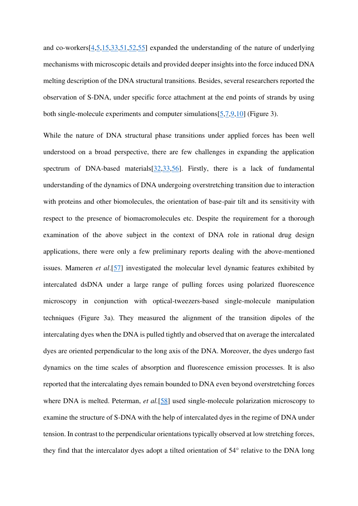and co-workers[\[4,](#page-14-6)[5,](#page-14-7)[15,](#page-15-4)[33,](#page-15-16)[51,](#page-16-15)[52,](#page-16-17)[55\]](#page-16-18) expanded the understanding of the nature of underlying mechanisms with microscopic details and provided deeper insights into the force induced DNA melting description of the DNA structural transitions. Besides, several researchers reported the observation of S-DNA, under specific force attachment at the end points of strands by using both single-molecule experiments and computer simulations[\[5](#page-14-7)[,7](#page-14-8)[,9](#page-14-9)[,10\]](#page-14-10) (Figure 3).

While the nature of DNA structural phase transitions under applied forces has been well understood on a broad perspective, there are few challenges in expanding the application spectrum of DNA-based materials[\[32](#page-15-17)[,33](#page-15-16)[,56\]](#page-16-19). Firstly, there is a lack of fundamental understanding of the dynamics of DNA undergoing overstretching transition due to interaction with proteins and other biomolecules, the orientation of base-pair tilt and its sensitivity with respect to the presence of biomacromolecules etc. Despite the requirement for a thorough examination of the above subject in the context of DNA role in rational drug design applications, there were only a few preliminary reports dealing with the above-mentioned issues. Mameren *et al*.[\[57\]](#page-16-20) investigated the molecular level dynamic features exhibited by intercalated dsDNA under a large range of pulling forces using polarized fluorescence microscopy in conjunction with optical-tweezers-based single-molecule manipulation techniques (Figure 3a). They measured the alignment of the transition dipoles of the intercalating dyes when the DNA is pulled tightly and observed that on average the intercalated dyes are oriented perpendicular to the long axis of the DNA. Moreover, the dyes undergo fast dynamics on the time scales of absorption and fluorescence emission processes. It is also reported that the intercalating dyes remain bounded to DNA even beyond overstretching forces where DNA is melted. Peterman, *et al.*[\[58\]](#page-17-0) used single-molecule polarization microscopy to examine the structure of S-DNA with the help of intercalated dyes in the regime of DNA under tension. In contrast to the perpendicular orientations typically observed at low stretching forces, they find that the intercalator dyes adopt a tilted orientation of 54° relative to the DNA long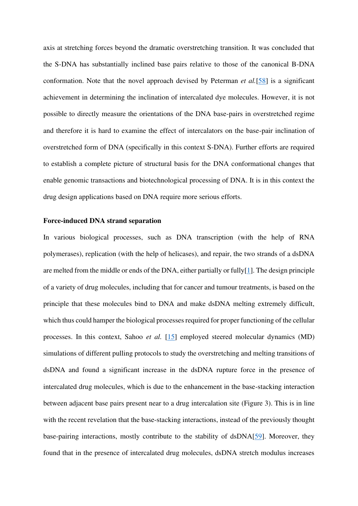axis at stretching forces beyond the dramatic overstretching transition. It was concluded that the S-DNA has substantially inclined base pairs relative to those of the canonical B-DNA conformation. Note that the novel approach devised by Peterman *et al.*[\[58\]](#page-17-0) is a significant achievement in determining the inclination of intercalated dye molecules. However, it is not possible to directly measure the orientations of the DNA base-pairs in overstretched regime and therefore it is hard to examine the effect of intercalators on the base-pair inclination of overstretched form of DNA (specifically in this context S-DNA). Further efforts are required to establish a complete picture of structural basis for the DNA conformational changes that enable genomic transactions and biotechnological processing of DNA. It is in this context the drug design applications based on DNA require more serious efforts.

#### **Force-induced DNA strand separation**

In various biological processes, such as DNA transcription (with the help of RNA polymerases), replication (with the help of helicases), and repair, the two strands of a dsDNA are melted from the middle or ends of the DNA, either partially or fully $[1]$ . The design principle of a variety of drug molecules, including that for cancer and tumour treatments, is based on the principle that these molecules bind to DNA and make dsDNA melting extremely difficult, which thus could hamper the biological processes required for proper functioning of the cellular processes. In this context, Sahoo *et al.* [\[15\]](#page-15-4) employed steered molecular dynamics (MD) simulations of different pulling protocols to study the overstretching and melting transitions of dsDNA and found a significant increase in the dsDNA rupture force in the presence of intercalated drug molecules, which is due to the enhancement in the base-stacking interaction between adjacent base pairs present near to a drug intercalation site (Figure 3). This is in line with the recent revelation that the base-stacking interactions, instead of the previously thought base-pairing interactions, mostly contribute to the stability of dsDNA[\[59\]](#page-17-1). Moreover, they found that in the presence of intercalated drug molecules, dsDNA stretch modulus increases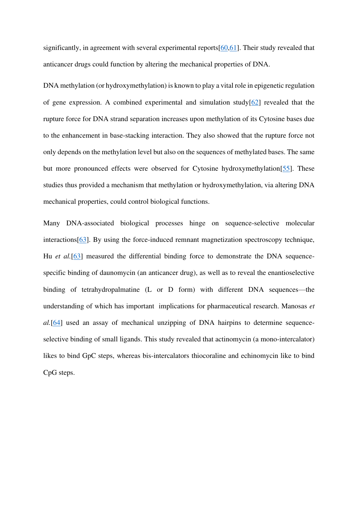significantly, in agreement with several experimental reports[\[60](#page-17-2)[,61\]](#page-17-3). Their study revealed that anticancer drugs could function by altering the mechanical properties of DNA.

DNA methylation (or hydroxymethylation) is known to play a vital role in epigenetic regulation of gene expression. A combined experimental and simulation study[\[62\]](#page-17-4) revealed that the rupture force for DNA strand separation increases upon methylation of its Cytosine bases due to the enhancement in base-stacking interaction. They also showed that the rupture force not only depends on the methylation level but also on the sequences of methylated bases. The same but more pronounced effects were observed for Cytosine hydroxymethylation[\[55\]](#page-16-18). These studies thus provided a mechanism that methylation or hydroxymethylation, via altering DNA mechanical properties, could control biological functions.

Many DNA-associated biological processes hinge on sequence-selective molecular interactions[\[63\]](#page-17-5). By using the force-induced remnant magnetization spectroscopy technique, Hu *et al.*[\[63\]](#page-17-5) measured the differential binding force to demonstrate the DNA sequencespecific binding of daunomycin (an anticancer drug), as well as to reveal the enantioselective binding of tetrahydropalmatine (L or D form) with different DNA sequences—the understanding of which has important implications for pharmaceutical research. Manosas *et al.*[\[64\]](#page-17-6) used an assay of mechanical unzipping of DNA hairpins to determine sequenceselective binding of small ligands. This study revealed that actinomycin (a mono-intercalator) likes to bind GpC steps, whereas bis-intercalators thiocoraline and echinomycin like to bind CpG steps.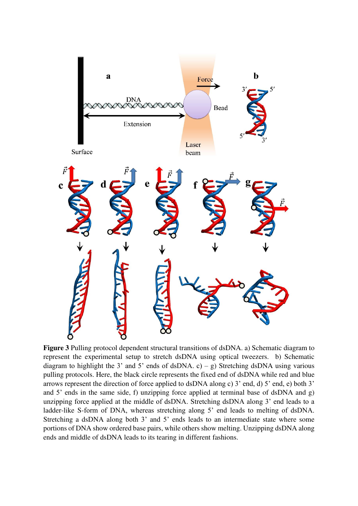

**Figure 3** Pulling protocol dependent structural transitions of dsDNA. a) Schematic diagram to represent the experimental setup to stretch dsDNA using optical tweezers. b) Schematic diagram to highlight the 3' and 5' ends of dsDNA. c) – g) Stretching dsDNA using various pulling protocols. Here, the black circle represents the fixed end of dsDNA while red and blue arrows represent the direction of force applied to dsDNA along c) 3' end, d) 5' end, e) both 3' and 5' ends in the same side, f) unzipping force applied at terminal base of dsDNA and g) unzipping force applied at the middle of dsDNA. Stretching dsDNA along 3' end leads to a ladder-like S-form of DNA, whereas stretching along 5' end leads to melting of dsDNA. Stretching a dsDNA along both 3' and 5' ends leads to an intermediate state where some portions of DNA show ordered base pairs, while others show melting. Unzipping dsDNA along ends and middle of dsDNA leads to its tearing in different fashions.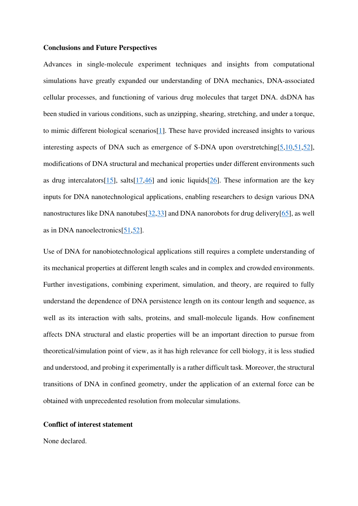#### **Conclusions and Future Perspectives**

Advances in single-molecule experiment techniques and insights from computational simulations have greatly expanded our understanding of DNA mechanics, DNA-associated cellular processes, and functioning of various drug molecules that target DNA. dsDNA has been studied in various conditions, such as unzipping, shearing, stretching, and under a torque, to mimic different biological scenarios[\[1\]](#page-14-0). These have provided increased insights to various interesting aspects of DNA such as emergence of S-DNA upon overstretching  $[5,10,51,52]$  $[5,10,51,52]$  $[5,10,51,52]$  $[5,10,51,52]$ , modifications of DNA structural and mechanical properties under different environments such as drug intercalators [\[15\]](#page-15-4), salts [\[17](#page-15-1)[,46\]](#page-16-10) and ionic liquids [\[26\]](#page-15-6). These information are the key inputs for DNA nanotechnological applications, enabling researchers to design various DNA nanostructures like DNA nanotubes[\[32,](#page-15-17)[33\]](#page-15-16) and DNA nanorobots for drug delivery[\[65\]](#page-17-7), as well as in DNA nanoelectronics[\[51](#page-16-15)[,52\]](#page-16-17).

Use of DNA for nanobiotechnological applications still requires a complete understanding of its mechanical properties at different length scales and in complex and crowded environments. Further investigations, combining experiment, simulation, and theory, are required to fully understand the dependence of DNA persistence length on its contour length and sequence, as well as its interaction with salts, proteins, and small-molecule ligands. How confinement affects DNA structural and elastic properties will be an important direction to pursue from theoretical/simulation point of view, as it has high relevance for cell biology, it is less studied and understood, and probing it experimentally is a rather difficult task. Moreover, the structural transitions of DNA in confined geometry, under the application of an external force can be obtained with unprecedented resolution from molecular simulations.

#### **Conflict of interest statement**

None declared.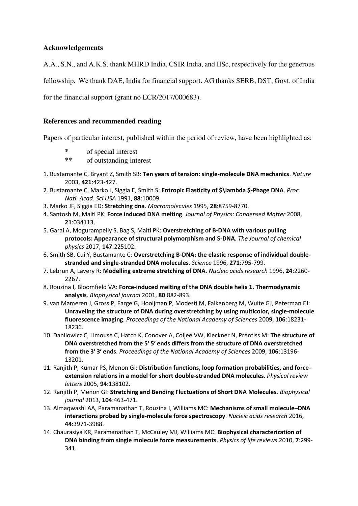# **Acknowledgements**

A.A., S.N., and A.K.S. thank MHRD India, CSIR India, and IISc, respectively for the generous

fellowship. We thank DAE, India for financial support. AG thanks SERB, DST, Govt. of India

for the financial support (grant no ECR/2017/000683).

# **References and recommended reading**

Papers of particular interest, published within the period of review, have been highlighted as:

- **\*** of special interest
- **\*\*** of outstanding interest
- <span id="page-14-0"></span>1. Bustamante C, Bryant Z, Smith SB: **Ten years of tension: single-molecule DNA mechanics**. *Nature*  2003, **421**:423-427.
- 2. Bustamante C, Marko J, Siggia E, Smith S: **Entropic Elasticity of \$\lambda \$-Phage DNA**. *Proc. Nati. Acad. Sci USA* 1991, **88**:10009.
- 3. Marko JF, Siggia ED: **Stretching dna**. *Macromolecules* 1995, **28**:8759-8770.
- <span id="page-14-6"></span>4. Santosh M, Maiti PK: **Force induced DNA melting**. *Journal of Physics: Condensed Matter* 2008, **21**:034113.
- <span id="page-14-7"></span>5. Garai A, Mogurampelly S, Bag S, Maiti PK: **Overstretching of B-DNA with various pulling protocols: Appearance of structural polymorphism and S-DNA**. *The Journal of chemical physics* 2017, **147**:225102.
- <span id="page-14-2"></span>6. Smith SB, Cui Y, Bustamante C: **Overstretching B-DNA: the elastic response of individual doublestranded and single-stranded DNA molecules**. *Science* 1996, **271**:795-799.
- <span id="page-14-8"></span>7. Lebrun A, Lavery R: **Modelling extreme stretching of DNA**. *Nucleic acids research* 1996, **24**:2260- 2267.
- <span id="page-14-5"></span>8. Rouzina I, Bloomfield VA: **Force-induced melting of the DNA double helix 1. Thermodynamic analysis**. *Biophysical journal* 2001, **80**:882-893.
- <span id="page-14-9"></span>9. van Mameren J, Gross P, Farge G, Hooijman P, Modesti M, Falkenberg M, Wuite GJ, Peterman EJ: **Unraveling the structure of DNA during overstretching by using multicolor, single-molecule fluorescence imaging**. *Proceedings of the National Academy of Sciences* 2009, **106**:18231- 18236.
- <span id="page-14-10"></span>10. Danilowicz C, Limouse C, Hatch K, Conover A, Coljee VW, Kleckner N, Prentiss M: **The structure of DNA overstretched from the 5′ 5′ ends differs from the structure of DNA overstretched from the 3′ 3′ ends**. *Proceedings of the National Academy of Sciences* 2009, **106**:13196- 13201.
- <span id="page-14-3"></span>11. Ranjith P, Kumar PS, Menon GI: **Distribution functions, loop formation probabilities, and forceextension relations in a model for short double-stranded DNA molecules**. *Physical review letters* 2005, **94**:138102.
- <span id="page-14-4"></span>12. Ranjith P, Menon GI: **Stretching and Bending Fluctuations of Short DNA Molecules**. *Biophysical journal* 2013, **104**:463-471.
- <span id="page-14-1"></span>13. Almaqwashi AA, Paramanathan T, Rouzina I, Williams MC: **Mechanisms of small molecule–DNA interactions probed by single-molecule force spectroscopy**. *Nucleic acids research* 2016, **44**:3971-3988.
- 14. Chaurasiya KR, Paramanathan T, McCauley MJ, Williams MC: **Biophysical characterization of DNA binding from single molecule force measurements**. *Physics of life reviews* 2010, **7**:299- 341.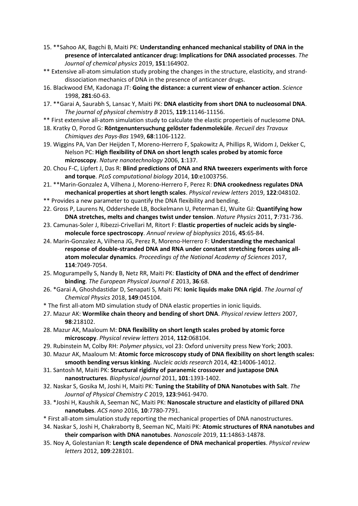- <span id="page-15-4"></span>15. \*\*Sahoo AK, Bagchi B, Maiti PK: **Understanding enhanced mechanical stability of DNA in the presence of intercalated anticancer drug: Implications for DNA associated processes**. *The Journal of chemical physics* 2019, **151**:164902.
- \*\* Extensive all-atom simulation study probing the changes in the structure, elasticity, and stranddissociation mechanics of DNA in the presence of anticancer drugs.
- <span id="page-15-0"></span>16. Blackwood EM, Kadonaga JT: **Going the distance: a current view of enhancer action**. *Science*  1998, **281**:60-63.
- <span id="page-15-1"></span>17. \*\*Garai A, Saurabh S, Lansac Y, Maiti PK: **DNA elasticity from short DNA to nucleosomal DNA**. *The journal of physical chemistry B* 2015, **119**:11146-11156.
- \*\* First extensive all-atom simulation study to calculate the elastic propertieis of nuclesome DNA.
- 18. Kratky O, Porod G: **Röntgenuntersuchung gelöster fadenmoleküle**. *Recueil des Travaux Chimiques des Pays‐Bas* 1949, **68**:1106-1122.
- <span id="page-15-13"></span>19. Wiggins PA, Van Der Heijden T, Moreno-Herrero F, Spakowitz A, Phillips R, Widom J, Dekker C, Nelson PC: **High flexibility of DNA on short length scales probed by atomic force microscopy**. *Nature nanotechnology* 2006, **1**:137.
- <span id="page-15-14"></span>20. Chou F-C, Lipfert J, Das R: **Blind predictions of DNA and RNA tweezers experiments with force and torque**. *PLoS computational biology* 2014, **10**:e1003756.
- <span id="page-15-15"></span>21. \*\*Marin-Gonzalez A, Vilhena J, Moreno-Herrero F, Perez R: **DNA crookedness regulates DNA mechanical properties at short length scales**. *Physical review letters* 2019, **122**:048102.
- \*\* Provides a new parameter to quantify the DNA flexibility and bending.
- <span id="page-15-12"></span>22. Gross P, Laurens N, Oddershede LB, Bockelmann U, Peterman EJ, Wuite GJ: **Quantifying how DNA stretches, melts and changes twist under tension**. *Nature Physics* 2011, **7**:731-736.
- <span id="page-15-2"></span>23. Camunas-Soler J, Ribezzi-Crivellari M, Ritort F: **Elastic properties of nucleic acids by singlemolecule force spectroscopy**. *Annual review of biophysics* 2016, **45**:65-84.
- <span id="page-15-3"></span>24. Marin-Gonzalez A, Vilhena JG, Perez R, Moreno-Herrero F: **Understanding the mechanical response of double-stranded DNA and RNA under constant stretching forces using allatom molecular dynamics**. *Proceedings of the National Academy of Sciences* 2017, **114**:7049-7054.
- <span id="page-15-5"></span>25. Mogurampelly S, Nandy B, Netz RR, Maiti PK: **Elasticity of DNA and the effect of dendrimer binding**. *The European Physical Journal E* 2013, **36**:68.
- <span id="page-15-6"></span>26. \*Garai A, Ghoshdastidar D, Senapati S, Maiti PK: **Ionic liquids make DNA rigid**. *The Journal of Chemical Physics* 2018, **149**:045104.
- \* The first all-atom MD simulation study of DNA elastic properties in ionic liquids.
- 27. Mazur AK: **Wormlike chain theory and bending of short DNA**. *Physical review letters* 2007, **98**:218102.
- <span id="page-15-8"></span>28. Mazur AK, Maaloum M: **DNA flexibility on short length scales probed by atomic force microscopy**. *Physical review letters* 2014, **112**:068104.
- <span id="page-15-7"></span>29. Rubinstein M, Colby RH: *Polymer physics*, vol 23: Oxford university press New York; 2003.
- <span id="page-15-9"></span>30. Mazur AK, Maaloum M: **Atomic force microscopy study of DNA flexibility on short length scales: smooth bending versus kinking**. *Nucleic acids research* 2014, **42**:14006-14012.
- <span id="page-15-10"></span>31. Santosh M, Maiti PK: **Structural rigidity of paranemic crossover and juxtapose DNA nanostructures**. *Biophysical journal* 2011, **101**:1393-1402.
- <span id="page-15-17"></span>32. Naskar S, Gosika M, Joshi H, Maiti PK: **Tuning the Stability of DNA Nanotubes with Salt**. *The Journal of Physical Chemistry C* 2019, **123**:9461-9470.
- <span id="page-15-16"></span>33. \*Joshi H, Kaushik A, Seeman NC, Maiti PK: **Nanoscale structure and elasticity of pillared DNA nanotubes**. *ACS nano* 2016, **10**:7780-7791.
- \* First all-atom simulation study reporting the mechanical properties of DNA nanostructures.
- 34. Naskar S, Joshi H, Chakraborty B, Seeman NC, Maiti PK: **Atomic structures of RNA nanotubes and their comparison with DNA nanotubes**. *Nanoscale* 2019, **11**:14863-14878.
- <span id="page-15-11"></span>35. Noy A, Golestanian R: **Length scale dependence of DNA mechanical properties**. *Physical review letters* 2012, **109**:228101.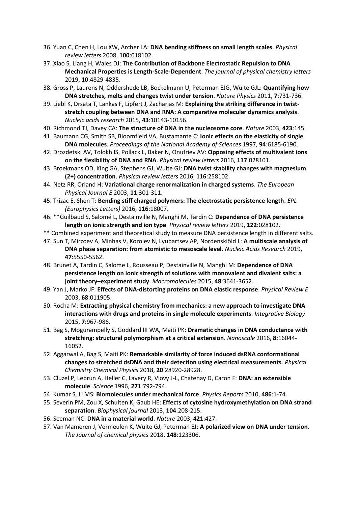- <span id="page-16-0"></span>36. Yuan C, Chen H, Lou XW, Archer LA: **DNA bending stiffness on small length scales**. *Physical review letters* 2008, **100**:018102.
- <span id="page-16-1"></span>37. Xiao S, Liang H, Wales DJ: **The Contribution of Backbone Electrostatic Repulsion to DNA Mechanical Properties is Length-Scale-Dependent**. *The journal of physical chemistry letters*  2019, **10**:4829-4835.
- <span id="page-16-2"></span>38. Gross P, Laurens N, Oddershede LB, Bockelmann U, Peterman EJG, Wuite GJL: **Quantifying how DNA stretches, melts and changes twist under tension**. *Nature Physics* 2011, **7**:731-736.
- <span id="page-16-3"></span>39. Liebl K, Drsata T, Lankas F, Lipfert J, Zacharias M: **Explaining the striking difference in twiststretch coupling between DNA and RNA: A comparative molecular dynamics analysis**. *Nucleic acids research* 2015, **43**:10143-10156.
- <span id="page-16-4"></span>40. Richmond TJ, Davey CA: **The structure of DNA in the nucleosome core**. *Nature* 2003, **423**:145.
- <span id="page-16-5"></span>41. Baumann CG, Smith SB, Bloomfield VA, Bustamante C: **Ionic effects on the elasticity of single DNA molecules**. *Proceedings of the National Academy of Sciences* 1997, **94**:6185-6190.
- <span id="page-16-6"></span>42. Drozdetski AV, Tolokh IS, Pollack L, Baker N, Onufriev AV: **Opposing effects of multivalent ions on the flexibility of DNA and RNA**. *Physical review letters* 2016, **117**:028101.
- <span id="page-16-7"></span>43. Broekmans OD, King GA, Stephens GJ, Wuite GJ: **DNA twist stability changes with magnesium (2+) concentration**. *Physical review letters* 2016, **116**:258102.
- <span id="page-16-8"></span>44. Netz RR, Orland H: **Variational charge renormalization in charged systems**. *The European Physical Journal E* 2003, **11**:301-311.
- <span id="page-16-9"></span>45. Trizac E, Shen T: **Bending stiff charged polymers: The electrostatic persistence length**. *EPL (Europhysics Letters)* 2016, **116**:18007.
- <span id="page-16-10"></span>46. \*\*Guilbaud S, Salomé L, Destainville N, Manghi M, Tardin C: **Dependence of DNA persistence length on ionic strength and ion type**. *Physical review letters* 2019, **122**:028102.
- \*\* Combined experiment and theoretical study to measure DNA persistence length in different salts.
- <span id="page-16-11"></span>47. Sun T, Mirzoev A, Minhas V, Korolev N, Lyubartsev AP, Nordenskiöld L: **A multiscale analysis of DNA phase separation: from atomistic to mesoscale level**. *Nucleic Acids Research* 2019, **47**:5550-5562.
- <span id="page-16-12"></span>48. Brunet A, Tardin C, Salome L, Rousseau P, Destainville N, Manghi M: **Dependence of DNA persistence length on ionic strength of solutions with monovalent and divalent salts: a joint theory–experiment study**. *Macromolecules* 2015, **48**:3641-3652.
- <span id="page-16-13"></span>49. Yan J, Marko JF: **Effects of DNA-distorting proteins on DNA elastic response**. *Physical Review E*  2003, **68**:011905.
- <span id="page-16-14"></span>50. Rocha M: **Extracting physical chemistry from mechanics: a new approach to investigate DNA interactions with drugs and proteins in single molecule experiments**. *Integrative Biology*  2015, **7**:967-986.
- <span id="page-16-15"></span>51. Bag S, Mogurampelly S, Goddard III WA, Maiti PK: **Dramatic changes in DNA conductance with stretching: structural polymorphism at a critical extension**. *Nanoscale* 2016, **8**:16044- 16052.
- <span id="page-16-17"></span>52. Aggarwal A, Bag S, Maiti PK: **Remarkable similarity of force induced dsRNA conformational changes to stretched dsDNA and their detection using electrical measurements**. *Physical Chemistry Chemical Physics* 2018, **20**:28920-28928.
- 53. Cluzel P, Lebrun A, Heller C, Lavery R, Viovy J-L, Chatenay D, Caron F: **DNA: an extensible molecule**. *Science* 1996, **271**:792-794.
- <span id="page-16-16"></span>54. Kumar S, Li MS: **Biomolecules under mechanical force**. *Physics Reports* 2010, **486**:1-74.
- <span id="page-16-18"></span>55. Severin PM, Zou X, Schulten K, Gaub HE: **Effects of cytosine hydroxymethylation on DNA strand separation**. *Biophysical journal* 2013, **104**:208-215.
- <span id="page-16-19"></span>56. Seeman NC: **DNA in a material world**. *Nature* 2003, **421**:427.
- <span id="page-16-20"></span>57. Van Mameren J, Vermeulen K, Wuite GJ, Peterman EJ: **A polarized view on DNA under tension**. *The Journal of chemical physics* 2018, **148**:123306.